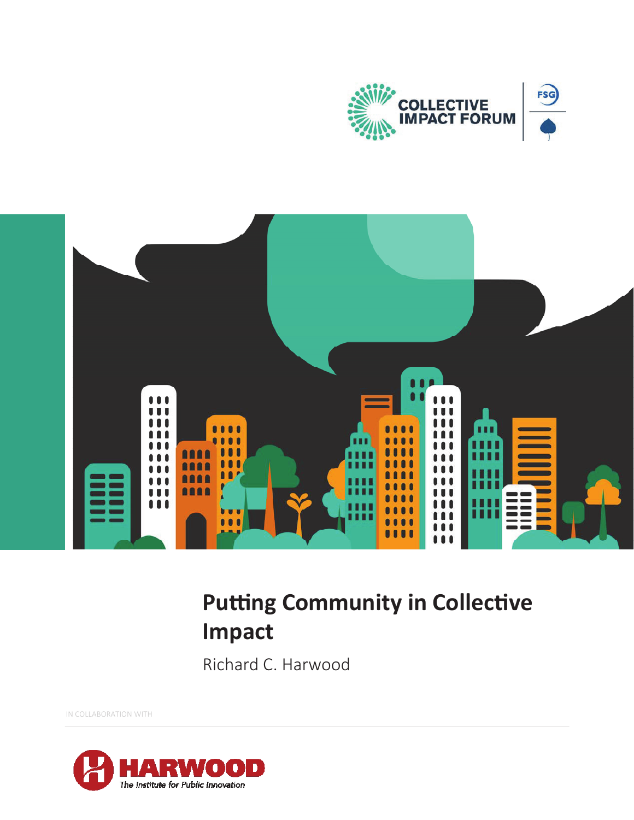



# **Putting Community in Collective Impact**

Richard C. Harwood

IN COLLABORATION WITH

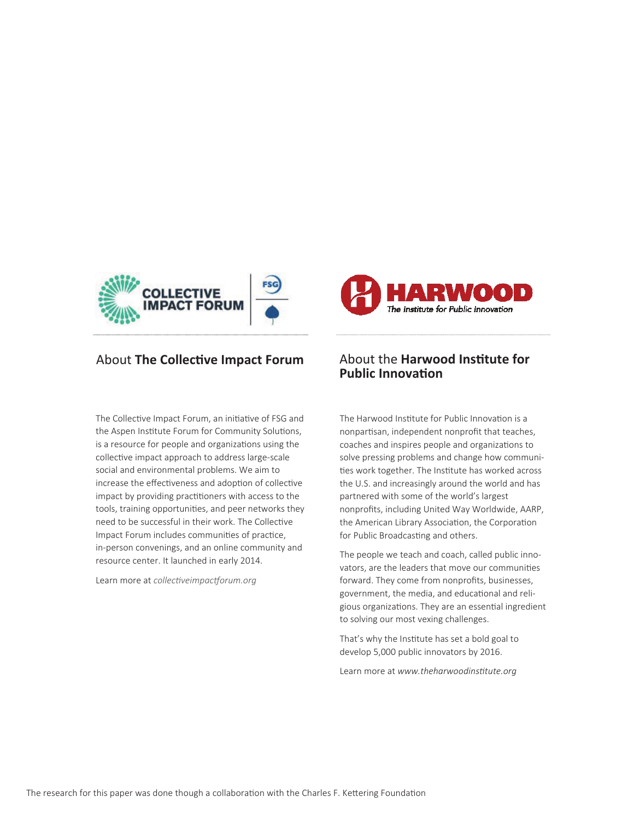

### About **The Collective Impact Forum** About the **Harwood Institute for**

The Collective Impact Forum, an initiative of FSG and the Aspen Institute Forum for Community Solutions, is a resource for people and organizations using the collective impact approach to address large-scale social and environmental problems. We aim to increase the effectiveness and adoption of collective impact by providing practitioners with access to the tools, training opportunities, and peer networks they need to be successful in their work. The Collective Impact Forum includes communities of practice, in-person convenings, and an online community and resource center. It launched in early 2014.

Learn more at *collectiveimpactforum.org* 



# **Public InnovaƟon**

The Harwood Institute for Public Innovation is a nonpartisan, independent nonprofit that teaches, coaches and inspires people and organizations to solve pressing problems and change how communities work together. The Institute has worked across the U.S. and increasingly around the world and has partnered with some of the world's largest nonprofits, including United Way Worldwide, AARP, the American Library Association, the Corporation for Public Broadcasting and others.

The people we teach and coach, called public innovators, are the leaders that move our communities forward. They come from nonprofits, businesses, government, the media, and educational and religious organizations. They are an essential ingredient to solving our most vexing challenges.

That's why the Institute has set a bold goal to develop 5,000 public innovators by 2016.

Learn more at www.theharwoodinstitute.org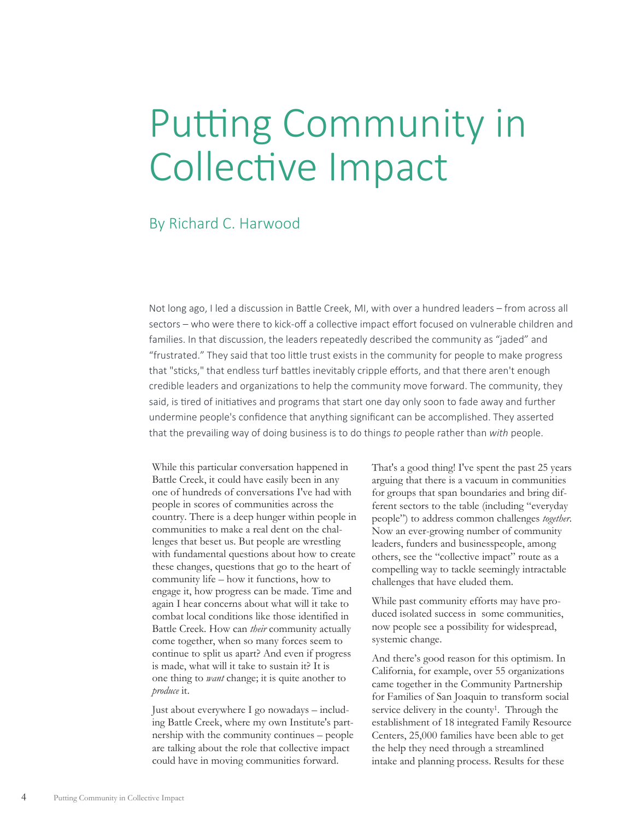# Putting Community in Collective Impact

### By Richard C. Harwood

Not long ago, I led a discussion in Battle Creek, MI, with over a hundred leaders – from across all sectors – who were there to kick-off a collective impact effort focused on vulnerable children and families. In that discussion, the leaders repeatedly described the community as "jaded" and "frustrated." They said that too little trust exists in the community for people to make progress that "sticks," that endless turf battles inevitably cripple efforts, and that there aren't enough credible leaders and organizations to help the community move forward. The community, they said, is tired of initiatives and programs that start one day only soon to fade away and further undermine people's confidence that anything significant can be accomplished. They asserted that the prevailing way of doing business is to do things to people rather than with people.

While this particular conversation happened in Battle Creek, it could have easily been in any one of hundreds of conversations I've had with people in scores of communities across the country. There is a deep hunger within people in communities to make a real dent on the challenges that beset us. But people are wrestling with fundamental questions about how to create these changes, questions that go to the heart of community life – how it functions, how to engage it, how progress can be made. Time and again I hear concerns about what will it take to combat local conditions like those identified in Battle Creek. How can *their* community actually come together, when so many forces seem to continue to split us apart? And even if progress is made, what will it take to sustain it? It is one thing to *want* change; it is quite another to *produce* it.

Just about everywhere I go nowadays – including Battle Creek, where my own Institute's partnership with the community continues – people are talking about the role that collective impact could have in moving communities forward.

That's a good thing! I've spent the past 25 years arguing that there is a vacuum in communities for groups that span boundaries and bring different sectors to the table (including "everyday people") to address common challenges *together*. Now an ever-growing number of community leaders, funders and businesspeople, among others, see the "collective impact" route as a compelling way to tackle seemingly intractable challenges that have eluded them.

While past community efforts may have produced isolated success in some communities, now people see a possibility for widespread, systemic change.

And there's good reason for this optimism. In California, for example, over 55 organizations came together in the Community Partnership for Families of San Joaquin to transform social service delivery in the county<sup>1</sup>. Through the establishment of 18 integrated Family Resource Centers, 25,000 families have been able to get the help they need through a streamlined intake and planning process. Results for these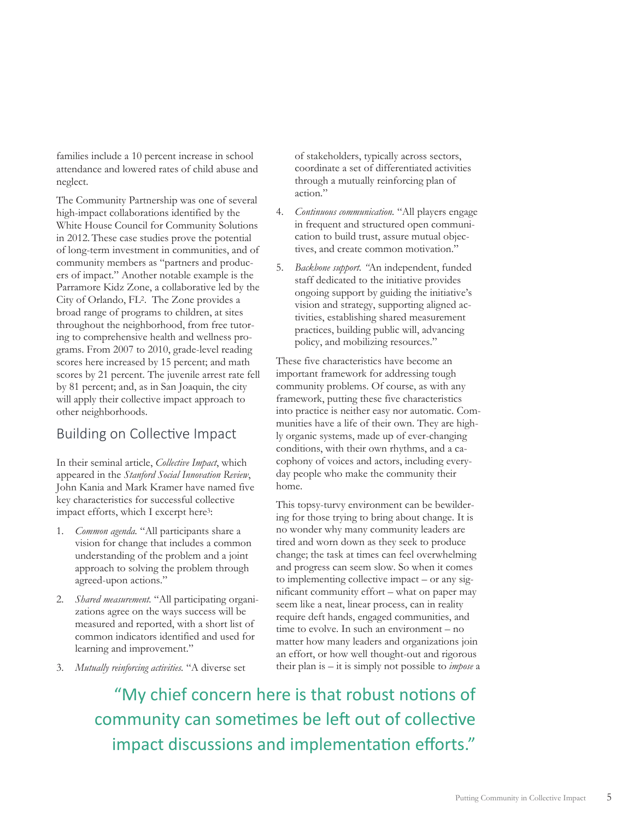families include a 10 percent increase in school attendance and lowered rates of child abuse and neglect.

The Community Partnership was one of several high-impact collaborations identified by the White House Council for Community Solutions in 2012. These case studies prove the potential of long-term investment in communities, and of community members as "partners and producers of impact." Another notable example is the Parramore Kidz Zone, a collaborative led by the City of Orlando, FL2. The Zone provides a broad range of programs to children, at sites throughout the neighborhood, from free tutoring to comprehensive health and wellness programs. From 2007 to 2010, grade-level reading scores here increased by 15 percent; and math scores by 21 percent. The juvenile arrest rate fell by 81 percent; and, as in San Joaquin, the city will apply their collective impact approach to other neighborhoods.

### Building on Collective Impact

In their seminal article, *Collective Impact*, which appeared in the *Stanford Social Innovation Review*, John Kania and Mark Kramer have named five key characteristics for successful collective impact efforts, which I excerpt here<sup>3</sup>:

- 1. *Common agenda.* "All participants share a vision for change that includes a common understanding of the problem and a joint approach to solving the problem through agreed-upon actions."
- 2. *Shared measurement.* "All participating organizations agree on the ways success will be measured and reported, with a short list of common indicators identified and used for learning and improvement."
- 3. *Mutually reinforcing activities.* "A diverse set

of stakeholders, typically across sectors, coordinate a set of differentiated activities through a mutually reinforcing plan of action."

- 4. *Continuous communication.* "All players engage in frequent and structured open communication to build trust, assure mutual objectives, and create common motivation."
- 5. *Backbone support. "*An independent, funded staff dedicated to the initiative provides ongoing support by guiding the initiative's vision and strategy, supporting aligned activities, establishing shared measurement practices, building public will, advancing policy, and mobilizing resources."

These five characteristics have become an important framework for addressing tough community problems. Of course, as with any framework, putting these five characteristics into practice is neither easy nor automatic. Communities have a life of their own. They are highly organic systems, made up of ever-changing conditions, with their own rhythms, and a cacophony of voices and actors, including everyday people who make the community their home.

This topsy-turvy environment can be bewildering for those trying to bring about change. It is no wonder why many community leaders are tired and worn down as they seek to produce change; the task at times can feel overwhelming and progress can seem slow. So when it comes to implementing collective impact – or any significant community effort – what on paper may seem like a neat, linear process, can in reality require deft hands, engaged communities, and time to evolve. In such an environment – no matter how many leaders and organizations join an effort, or how well thought-out and rigorous their plan is – it is simply not possible to *impose* a

"My chief concern here is that robust notions of community can sometimes be left out of collective impact discussions and implementation efforts."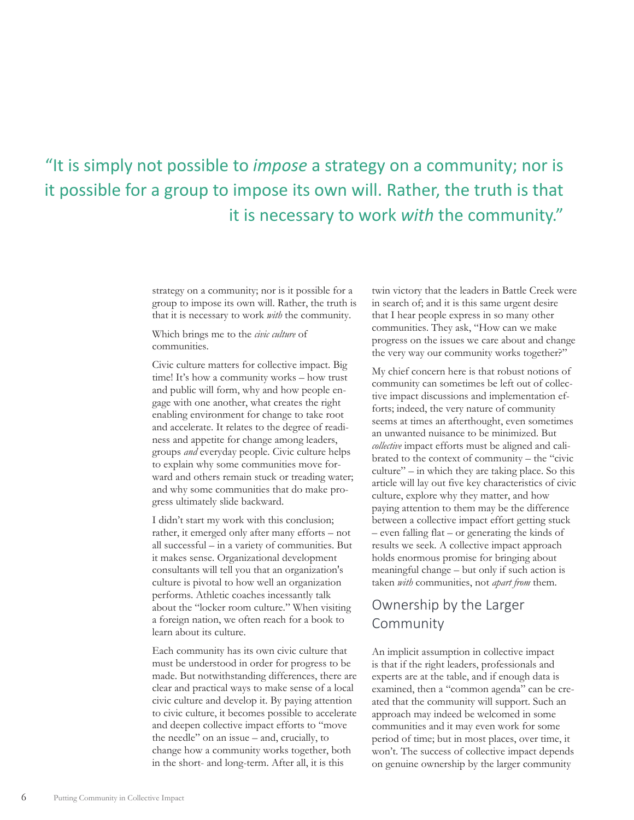# "It is simply not possible to *impose* a strategy on a community; nor is it possible for a group to impose its own will. Rather, the truth is that it is necessary to work *with* the community."

strategy on a community; nor is it possible for a group to impose its own will. Rather, the truth is that it is necessary to work *with* the community.

Which brings me to the *civic culture* of communities.

Civic culture matters for collective impact. Big time! It's how a community works – how trust and public will form, why and how people engage with one another, what creates the right enabling environment for change to take root and accelerate. It relates to the degree of readiness and appetite for change among leaders, groups *and* everyday people. Civic culture helps to explain why some communities move forward and others remain stuck or treading water; and why some communities that do make progress ultimately slide backward.

I didn't start my work with this conclusion; rather, it emerged only after many efforts – not all successful – in a variety of communities. But it makes sense. Organizational development consultants will tell you that an organization's culture is pivotal to how well an organization performs. Athletic coaches incessantly talk about the "locker room culture." When visiting a foreign nation, we often reach for a book to learn about its culture.

Each community has its own civic culture that must be understood in order for progress to be made. But notwithstanding differences, there are clear and practical ways to make sense of a local civic culture and develop it. By paying attention to civic culture, it becomes possible to accelerate and deepen collective impact efforts to "move the needle" on an issue – and, crucially, to change how a community works together, both in the short- and long-term. After all, it is this

twin victory that the leaders in Battle Creek were in search of; and it is this same urgent desire that I hear people express in so many other communities. They ask, "How can we make progress on the issues we care about and change the very way our community works together?"

My chief concern here is that robust notions of community can sometimes be left out of collective impact discussions and implementation efforts; indeed, the very nature of community seems at times an afterthought, even sometimes an unwanted nuisance to be minimized. But *collective* impact efforts must be aligned and calibrated to the context of community – the "civic  $culture'' - in which they are taking place. So this$ article will lay out five key characteristics of civic culture, explore why they matter, and how paying attention to them may be the difference between a collective impact effort getting stuck – even falling flat – or generating the kinds of results we seek. A collective impact approach holds enormous promise for bringing about meaningful change – but only if such action is taken *with* communities, not *apart from* them.

### Ownership by the Larger Community

An implicit assumption in collective impact is that if the right leaders, professionals and experts are at the table, and if enough data is examined, then a "common agenda" can be created that the community will support. Such an approach may indeed be welcomed in some communities and it may even work for some period of time; but in most places, over time, it won't. The success of collective impact depends on genuine ownership by the larger community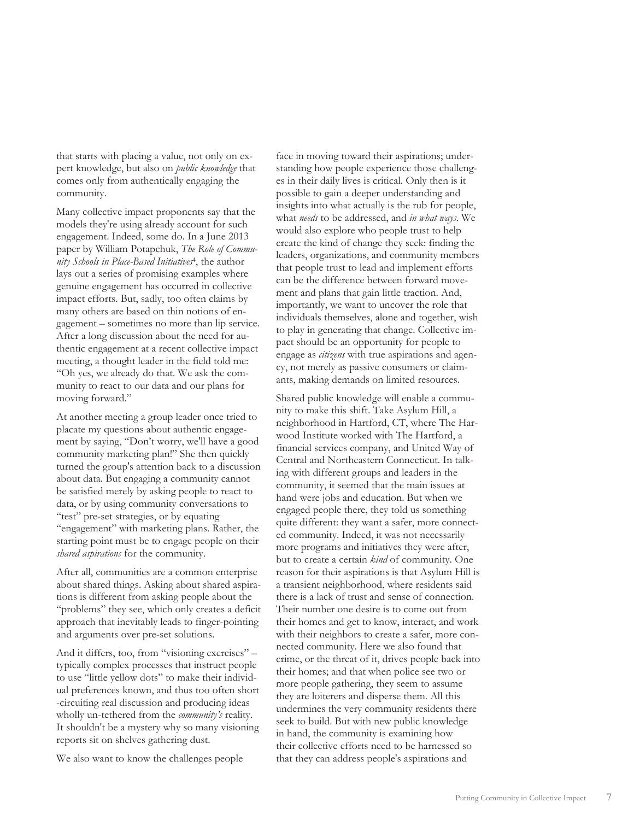that starts with placing a value, not only on expert knowledge, but also on *public knowledge* that comes only from authentically engaging the community.

Many collective impact proponents say that the models they're using already account for such engagement. Indeed, some do. In a June 2013 paper by William Potapchuk, *The Role of Community Schools in Place-Based Initiatives*4, the author lays out a series of promising examples where genuine engagement has occurred in collective impact efforts. But, sadly, too often claims by many others are based on thin notions of engagement – sometimes no more than lip service. After a long discussion about the need for authentic engagement at a recent collective impact meeting, a thought leader in the field told me: "Oh yes, we already do that. We ask the community to react to our data and our plans for moving forward."

At another meeting a group leader once tried to placate my questions about authentic engagement by saying, "Don't worry, we'll have a good community marketing plan!" She then quickly turned the group's attention back to a discussion about data. But engaging a community cannot be satisfied merely by asking people to react to data, or by using community conversations to "test" pre-set strategies, or by equating "engagement" with marketing plans. Rather, the starting point must be to engage people on their *shared aspirations* for the community.

After all, communities are a common enterprise about shared things. Asking about shared aspirations is different from asking people about the "problems" they see, which only creates a deficit approach that inevitably leads to finger-pointing and arguments over pre-set solutions.

And it differs, too, from "visioning exercises" – typically complex processes that instruct people to use "little yellow dots" to make their individual preferences known, and thus too often short -circuiting real discussion and producing ideas wholly un-tethered from the *community's* reality. It shouldn't be a mystery why so many visioning reports sit on shelves gathering dust.

We also want to know the challenges people

face in moving toward their aspirations; understanding how people experience those challenges in their daily lives is critical. Only then is it possible to gain a deeper understanding and insights into what actually is the rub for people, what *needs* to be addressed, and *in what ways*. We would also explore who people trust to help create the kind of change they seek: finding the leaders, organizations, and community members that people trust to lead and implement efforts can be the difference between forward movement and plans that gain little traction. And, importantly, we want to uncover the role that individuals themselves, alone and together, wish to play in generating that change. Collective impact should be an opportunity for people to engage as *citizens* with true aspirations and agency, not merely as passive consumers or claimants, making demands on limited resources.

Shared public knowledge will enable a community to make this shift. Take Asylum Hill, a neighborhood in Hartford, CT, where The Harwood Institute worked with The Hartford, a financial services company, and United Way of Central and Northeastern Connecticut. In talking with different groups and leaders in the community, it seemed that the main issues at hand were jobs and education. But when we engaged people there, they told us something quite different: they want a safer, more connected community. Indeed, it was not necessarily more programs and initiatives they were after, but to create a certain *kind* of community. One reason for their aspirations is that Asylum Hill is a transient neighborhood, where residents said there is a lack of trust and sense of connection. Their number one desire is to come out from their homes and get to know, interact, and work with their neighbors to create a safer, more connected community. Here we also found that crime, or the threat of it, drives people back into their homes; and that when police see two or more people gathering, they seem to assume they are loiterers and disperse them. All this undermines the very community residents there seek to build. But with new public knowledge in hand, the community is examining how their collective efforts need to be harnessed so that they can address people's aspirations and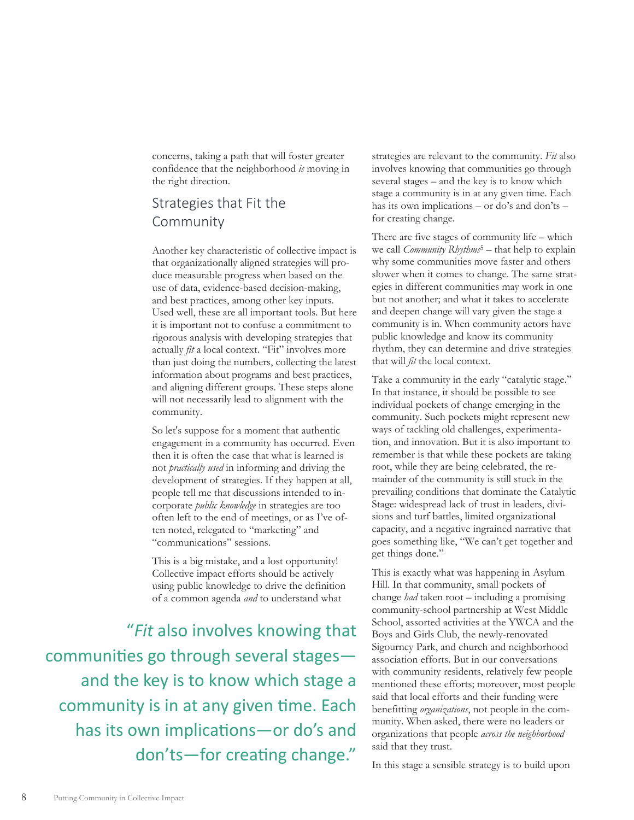concerns, taking a path that will foster greater confidence that the neighborhood *is* moving in the right direction.

### Strategies that Fit the Community

Another key characteristic of collective impact is that organizationally aligned strategies will produce measurable progress when based on the use of data, evidence-based decision-making, and best practices, among other key inputs. Used well, these are all important tools. But here it is important not to confuse a commitment to rigorous analysis with developing strategies that actually *fit* a local context. "Fit" involves more than just doing the numbers, collecting the latest information about programs and best practices, and aligning different groups. These steps alone will not necessarily lead to alignment with the community.

So let's suppose for a moment that authentic engagement in a community has occurred. Even then it is often the case that what is learned is not *practically used* in informing and driving the development of strategies. If they happen at all, people tell me that discussions intended to incorporate *public knowledge* in strategies are too often left to the end of meetings, or as I've often noted, relegated to "marketing" and "communications" sessions.

This is a big mistake, and a lost opportunity! Collective impact efforts should be actively using public knowledge to drive the definition of a common agenda *and* to understand what

"*Fit* also involves knowing that communities go through several stages and the key is to know which stage a community is in at any given time. Each has its own implications—or do's and don'ts-for creating change."

strategies are relevant to the community. *Fit* also involves knowing that communities go through several stages – and the key is to know which stage a community is in at any given time. Each has its own implications – or do's and don'ts – for creating change.

There are five stages of community life – which we call *Community Rhythms<sup>5</sup>* – that help to explain why some communities move faster and others slower when it comes to change. The same strategies in different communities may work in one but not another; and what it takes to accelerate and deepen change will vary given the stage a community is in. When community actors have public knowledge and know its community rhythm, they can determine and drive strategies that will *fit* the local context.

Take a community in the early "catalytic stage." In that instance, it should be possible to see individual pockets of change emerging in the community. Such pockets might represent new ways of tackling old challenges, experimentation, and innovation. But it is also important to remember is that while these pockets are taking root, while they are being celebrated, the remainder of the community is still stuck in the prevailing conditions that dominate the Catalytic Stage: widespread lack of trust in leaders, divisions and turf battles, limited organizational capacity, and a negative ingrained narrative that goes something like, "We can't get together and get things done."

This is exactly what was happening in Asylum Hill. In that community, small pockets of change *had* taken root – including a promising community-school partnership at West Middle School, assorted activities at the YWCA and the Boys and Girls Club, the newly-renovated Sigourney Park, and church and neighborhood association efforts. But in our conversations with community residents, relatively few people mentioned these efforts; moreover, most people said that local efforts and their funding were benefitting *organizations*, not people in the community. When asked, there were no leaders or organizations that people *across the neighborhood* said that they trust.

In this stage a sensible strategy is to build upon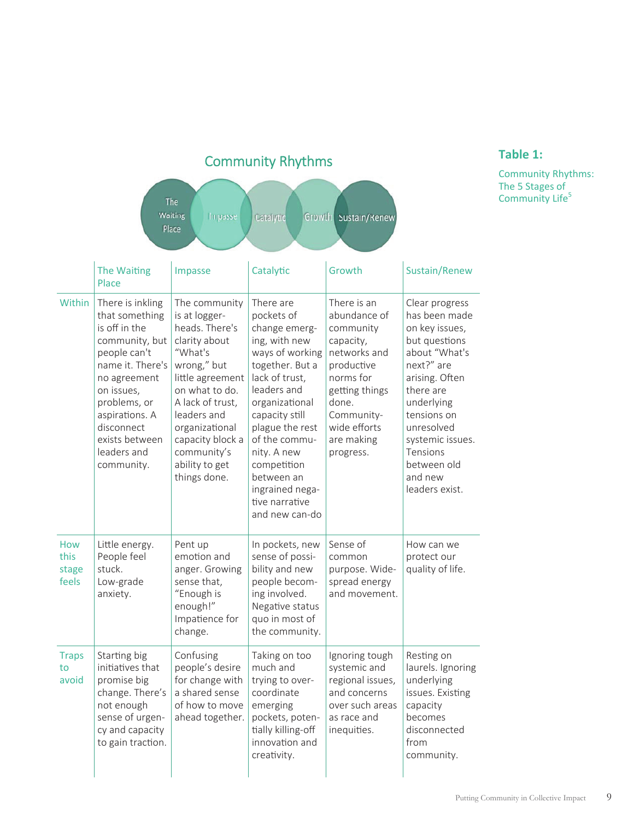| The<br>Waiting<br>Impasse<br>Growth Sustain/Renew<br>Catalytic<br>Place |                                                                                                                                                                                                                                        |                                                                                                                                                                                                                                                             |                                                                                                                                                                                                                                                                                                             |                                                                                                                                                                                      |                                                                                                                                                                                                                                                         |
|-------------------------------------------------------------------------|----------------------------------------------------------------------------------------------------------------------------------------------------------------------------------------------------------------------------------------|-------------------------------------------------------------------------------------------------------------------------------------------------------------------------------------------------------------------------------------------------------------|-------------------------------------------------------------------------------------------------------------------------------------------------------------------------------------------------------------------------------------------------------------------------------------------------------------|--------------------------------------------------------------------------------------------------------------------------------------------------------------------------------------|---------------------------------------------------------------------------------------------------------------------------------------------------------------------------------------------------------------------------------------------------------|
|                                                                         | The Waiting<br>Place                                                                                                                                                                                                                   | Impasse                                                                                                                                                                                                                                                     | Catalytic                                                                                                                                                                                                                                                                                                   | Growth                                                                                                                                                                               | Sustain/Renew                                                                                                                                                                                                                                           |
| Within                                                                  | There is inkling<br>that something<br>is off in the<br>community, but<br>people can't<br>name it. There's<br>no agreement<br>on issues,<br>problems, or<br>aspirations. A<br>disconnect<br>exists between<br>leaders and<br>community. | The community<br>is at logger-<br>heads. There's<br>clarity about<br>"What's<br>wrong," but<br>little agreement<br>on what to do.<br>A lack of trust,<br>leaders and<br>organizational<br>capacity block a<br>community's<br>ability to get<br>things done. | There are<br>pockets of<br>change emerg-<br>ing, with new<br>ways of working<br>together. But a<br>lack of trust,<br>leaders and<br>organizational<br>capacity still<br>plague the rest<br>of the commu-<br>nity. A new<br>competition<br>between an<br>ingrained nega-<br>tive narrative<br>and new can-do | There is an<br>abundance of<br>community<br>capacity,<br>networks and<br>productive<br>norms for<br>getting things<br>done.<br>Community-<br>wide efforts<br>are making<br>progress. | Clear progress<br>has been made<br>on key issues,<br>but questions<br>about "What's<br>next?" are<br>arising. Often<br>there are<br>underlying<br>tensions on<br>unresolved<br>systemic issues.<br>Tensions<br>between old<br>and new<br>leaders exist. |
| How<br>this<br>stage<br>feels                                           | Little energy.<br>People feel<br>stuck.<br>Low-grade<br>anxiety.                                                                                                                                                                       | Pent up<br>emotion and<br>anger. Growing<br>sense that,<br>"Enough is<br>enough!"<br>Impatience for<br>change.                                                                                                                                              | In pockets, new<br>sense of possi-<br>bility and new<br>people becom-<br>ing involved.<br>Negative status<br>quo in most of<br>the community.                                                                                                                                                               | Sense of<br>common<br>purpose. Wide-<br>spread energy<br>and movement.                                                                                                               | How can we<br>protect our<br>quality of life.                                                                                                                                                                                                           |
| <b>Traps</b><br>to<br>avoid                                             | Starting big<br>initiatives that<br>promise big<br>change. There's<br>not enough<br>sense of urgen-<br>cy and capacity<br>to gain traction.                                                                                            | Confusing<br>people's desire<br>for change with<br>a shared sense<br>of how to move<br>ahead together.                                                                                                                                                      | Taking on too<br>much and<br>trying to over-<br>coordinate<br>emerging<br>pockets, poten-<br>tially killing-off<br>innovation and<br>creativity.                                                                                                                                                            | Ignoring tough<br>systemic and<br>regional issues,<br>and concerns<br>over such areas<br>as race and<br>inequities.                                                                  | Resting on<br>laurels. Ignoring<br>underlying<br>issues. Existing<br>capacity<br>becomes<br>disconnected<br>from<br>community.                                                                                                                          |

### Community Rhythms

### **Table 1:**

Community Rhythms: The 5 Stages of Community Life<sup>5</sup>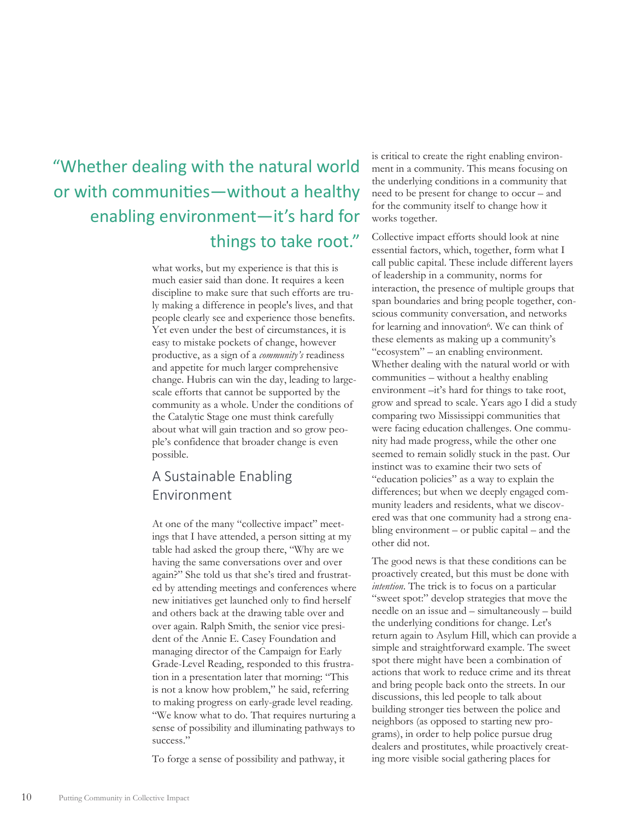## "Whether dealing with the natural world or with communities—without a healthy enabling environment—it's hard for things to take root."

what works, but my experience is that this is much easier said than done. It requires a keen discipline to make sure that such efforts are truly making a difference in people's lives, and that people clearly see and experience those benefits. Yet even under the best of circumstances, it is easy to mistake pockets of change, however productive, as a sign of a *community's* readiness and appetite for much larger comprehensive change. Hubris can win the day, leading to largescale efforts that cannot be supported by the community as a whole. Under the conditions of the Catalytic Stage one must think carefully about what will gain traction and so grow people's confidence that broader change is even possible.

### A Sustainable Enabling Environment

At one of the many "collective impact" meetings that I have attended, a person sitting at my table had asked the group there, "Why are we having the same conversations over and over again?" She told us that she's tired and frustrated by attending meetings and conferences where new initiatives get launched only to find herself and others back at the drawing table over and over again. Ralph Smith, the senior vice president of the Annie E. Casey Foundation and managing director of the Campaign for Early Grade-Level Reading, responded to this frustration in a presentation later that morning: "This is not a know how problem," he said, referring to making progress on early-grade level reading. "We know what to do. That requires nurturing a sense of possibility and illuminating pathways to success."

To forge a sense of possibility and pathway, it

is critical to create the right enabling environment in a community. This means focusing on the underlying conditions in a community that need to be present for change to occur – and for the community itself to change how it works together.

Collective impact efforts should look at nine essential factors, which, together, form what I call public capital. These include different layers of leadership in a community, norms for interaction, the presence of multiple groups that span boundaries and bring people together, conscious community conversation, and networks for learning and innovation<sup>6</sup>. We can think of these elements as making up a community's "ecosystem" – an enabling environment. Whether dealing with the natural world or with communities – without a healthy enabling environment –it's hard for things to take root, grow and spread to scale. Years ago I did a study comparing two Mississippi communities that were facing education challenges. One community had made progress, while the other one seemed to remain solidly stuck in the past. Our instinct was to examine their two sets of "education policies" as a way to explain the differences; but when we deeply engaged community leaders and residents, what we discovered was that one community had a strong enabling environment – or public capital – and the other did not.

The good news is that these conditions can be proactively created, but this must be done with *intention*. The trick is to focus on a particular "sweet spot:" develop strategies that move the needle on an issue and – simultaneously – build the underlying conditions for change. Let's return again to Asylum Hill, which can provide a simple and straightforward example. The sweet spot there might have been a combination of actions that work to reduce crime and its threat and bring people back onto the streets. In our discussions, this led people to talk about building stronger ties between the police and neighbors (as opposed to starting new programs), in order to help police pursue drug dealers and prostitutes, while proactively creating more visible social gathering places for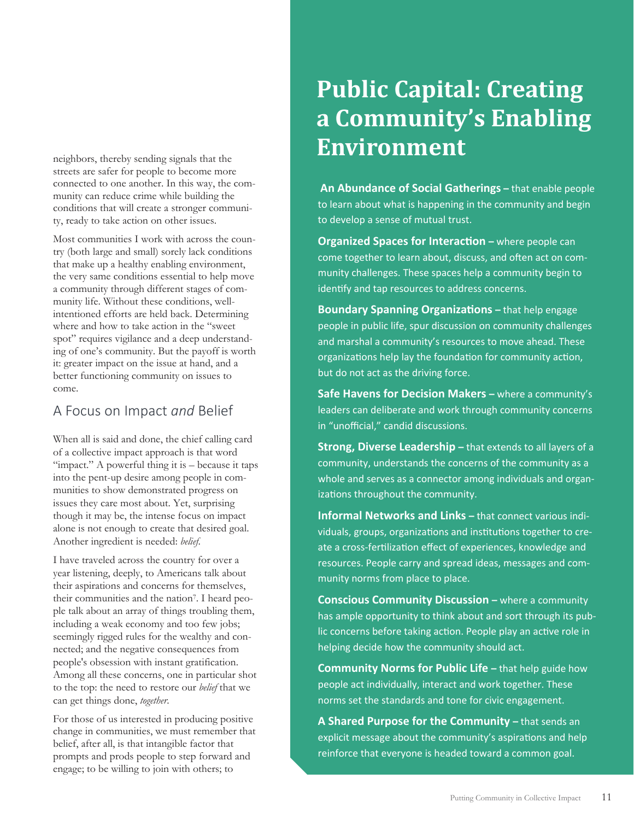neighbors, thereby sending signals that the streets are safer for people to become more connected to one another. In this way, the community can reduce crime while building the conditions that will create a stronger community, ready to take action on other issues.

Most communities I work with across the country (both large and small) sorely lack conditions that make up a healthy enabling environment, the very same conditions essential to help move a community through different stages of community life. Without these conditions, wellintentioned efforts are held back. Determining where and how to take action in the "sweet spot" requires vigilance and a deep understanding of one's community. But the payoff is worth it: greater impact on the issue at hand, and a better functioning community on issues to come.

### A Focus on Impact *and* Belief

When all is said and done, the chief calling card of a collective impact approach is that word "impact." A powerful thing it is – because it taps into the pent-up desire among people in communities to show demonstrated progress on issues they care most about. Yet, surprising though it may be, the intense focus on impact alone is not enough to create that desired goal. Another ingredient is needed: *belief*.

I have traveled across the country for over a year listening, deeply, to Americans talk about their aspirations and concerns for themselves, their communities and the nation7. I heard people talk about an array of things troubling them, including a weak economy and too few jobs; seemingly rigged rules for the wealthy and connected; and the negative consequences from people's obsession with instant gratification. Among all these concerns, one in particular shot to the top: the need to restore our *belief* that we can get things done, *together*.

For those of us interested in producing positive change in communities, we must remember that belief, after all, is that intangible factor that prompts and prods people to step forward and engage; to be willing to join with others; to

# **Public Capital: Creating a Community's Enabling Environment**

**An Abundance of Social Gatherings –** that enable people to learn about what is happening in the community and begin to develop a sense of mutual trust.

**Organized Spaces for Interaction – where people can** come together to learn about, discuss, and often act on community challenges. These spaces help a community begin to identify and tap resources to address concerns.

**Boundary Spanning Organizations – that help engage** people in public life, spur discussion on community challenges and marshal a community's resources to move ahead. These organizations help lay the foundation for community action, but do not act as the driving force.

**Safe Havens for Decision Makers - where a community's** leaders can deliberate and work through community concerns in "unofficial," candid discussions.

**Strong, Diverse Leadership** - that extends to all layers of a community, understands the concerns of the community as a whole and serves as a connector among individuals and organizations throughout the community.

**Informal Networks and Links –** that connect various individuals, groups, organizations and institutions together to create a cross-fertilization effect of experiences, knowledge and resources. People carry and spread ideas, messages and community norms from place to place.

**Conscious Community Discussion – where a community** has ample opportunity to think about and sort through its public concerns before taking action. People play an active role in helping decide how the community should act.

**Community Norms for Public Life - that help guide how** people act individually, interact and work together. These norms set the standards and tone for civic engagement.

**A Shared Purpose for the Community –** that sends an explicit message about the community's aspirations and help reinforce that everyone is headed toward a common goal.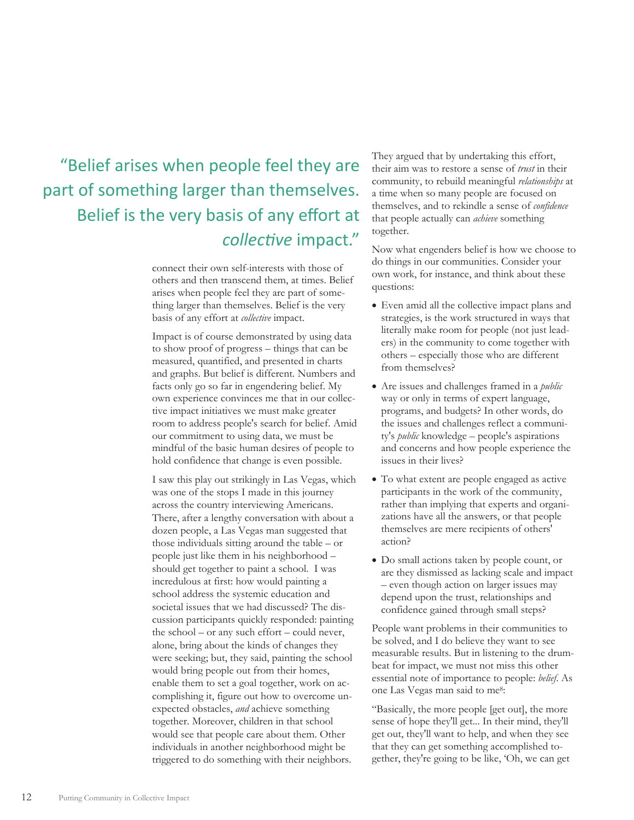# "Belief arises when people feel they are part of something larger than themselves. Belief is the very basis of any effort at *collecƟve* impact."

connect their own self-interests with those of others and then transcend them, at times. Belief arises when people feel they are part of something larger than themselves. Belief is the very basis of any effort at *collective* impact.

Impact is of course demonstrated by using data to show proof of progress – things that can be measured, quantified, and presented in charts and graphs. But belief is different. Numbers and facts only go so far in engendering belief. My own experience convinces me that in our collective impact initiatives we must make greater room to address people's search for belief. Amid our commitment to using data, we must be mindful of the basic human desires of people to hold confidence that change is even possible.

I saw this play out strikingly in Las Vegas, which was one of the stops I made in this journey across the country interviewing Americans. There, after a lengthy conversation with about a dozen people, a Las Vegas man suggested that those individuals sitting around the table – or people just like them in his neighborhood – should get together to paint a school. I was incredulous at first: how would painting a school address the systemic education and societal issues that we had discussed? The discussion participants quickly responded: painting the school – or any such effort – could never, alone, bring about the kinds of changes they were seeking; but, they said, painting the school would bring people out from their homes, enable them to set a goal together, work on accomplishing it, figure out how to overcome unexpected obstacles, *and* achieve something together. Moreover, children in that school would see that people care about them. Other individuals in another neighborhood might be triggered to do something with their neighbors.

They argued that by undertaking this effort, their aim was to restore a sense of *trust* in their community, to rebuild meaningful *relationships* at a time when so many people are focused on themselves, and to rekindle a sense of *confidence* that people actually can *achieve* something together.

Now what engenders belief is how we choose to do things in our communities. Consider your own work, for instance, and think about these questions:

- Even amid all the collective impact plans and strategies, is the work structured in ways that literally make room for people (not just leaders) in the community to come together with others – especially those who are different from themselves?
- x Are issues and challenges framed in a *public*  way or only in terms of expert language, programs, and budgets? In other words, do the issues and challenges reflect a community's *public* knowledge – people's aspirations and concerns and how people experience the issues in their lives?
- To what extent are people engaged as active participants in the work of the community, rather than implying that experts and organizations have all the answers, or that people themselves are mere recipients of others' action?
- Do small actions taken by people count, or are they dismissed as lacking scale and impact – even though action on larger issues may depend upon the trust, relationships and confidence gained through small steps?

People want problems in their communities to be solved, and I do believe they want to see measurable results. But in listening to the drumbeat for impact, we must not miss this other essential note of importance to people: *belief*. As one Las Vegas man said to me8:

"Basically, the more people [get out], the more sense of hope they'll get... In their mind, they'll get out, they'll want to help, and when they see that they can get something accomplished together, they're going to be like, 'Oh, we can get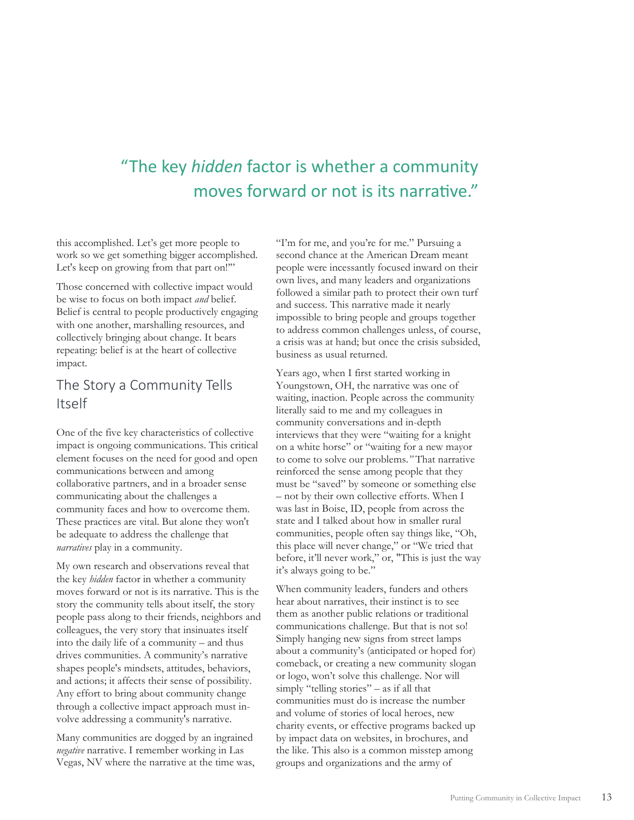## "The key *hidden* factor is whether a community moves forward or not is its narrative."

this accomplished. Let's get more people to work so we get something bigger accomplished. Let's keep on growing from that part on!"

Those concerned with collective impact would be wise to focus on both impact *and* belief. Belief is central to people productively engaging with one another, marshalling resources, and collectively bringing about change. It bears repeating: belief is at the heart of collective impact.

### The Story a Community Tells Itself

One of the five key characteristics of collective impact is ongoing communications. This critical element focuses on the need for good and open communications between and among collaborative partners, and in a broader sense communicating about the challenges a community faces and how to overcome them. These practices are vital. But alone they won't be adequate to address the challenge that *narratives* play in a community.

My own research and observations reveal that the key *hidden* factor in whether a community moves forward or not is its narrative. This is the story the community tells about itself, the story people pass along to their friends, neighbors and colleagues, the very story that insinuates itself into the daily life of a community – and thus drives communities. A community's narrative shapes people's mindsets, attitudes, behaviors, and actions; it affects their sense of possibility. Any effort to bring about community change through a collective impact approach must involve addressing a community's narrative.

Many communities are dogged by an ingrained *negative* narrative. I remember working in Las Vegas, NV where the narrative at the time was,

"I'm for me, and you're for me." Pursuing a second chance at the American Dream meant people were incessantly focused inward on their own lives, and many leaders and organizations followed a similar path to protect their own turf and success. This narrative made it nearly impossible to bring people and groups together to address common challenges unless, of course, a crisis was at hand; but once the crisis subsided, business as usual returned.

Years ago, when I first started working in Youngstown, OH, the narrative was one of waiting, inaction. People across the community literally said to me and my colleagues in community conversations and in-depth interviews that they were "waiting for a knight on a white horse" or "waiting for a new mayor to come to solve our problems.*"* That narrative reinforced the sense among people that they must be "saved" by someone or something else – not by their own collective efforts. When I was last in Boise, ID, people from across the state and I talked about how in smaller rural communities, people often say things like, "Oh, this place will never change," or "We tried that before, it'll never work," or, "This is just the way it's always going to be."

When community leaders, funders and others hear about narratives, their instinct is to see them as another public relations or traditional communications challenge. But that is not so! Simply hanging new signs from street lamps about a community's (anticipated or hoped for) comeback, or creating a new community slogan or logo, won't solve this challenge. Nor will simply "telling stories" – as if all that communities must do is increase the number and volume of stories of local heroes, new charity events, or effective programs backed up by impact data on websites, in brochures, and the like. This also is a common misstep among groups and organizations and the army of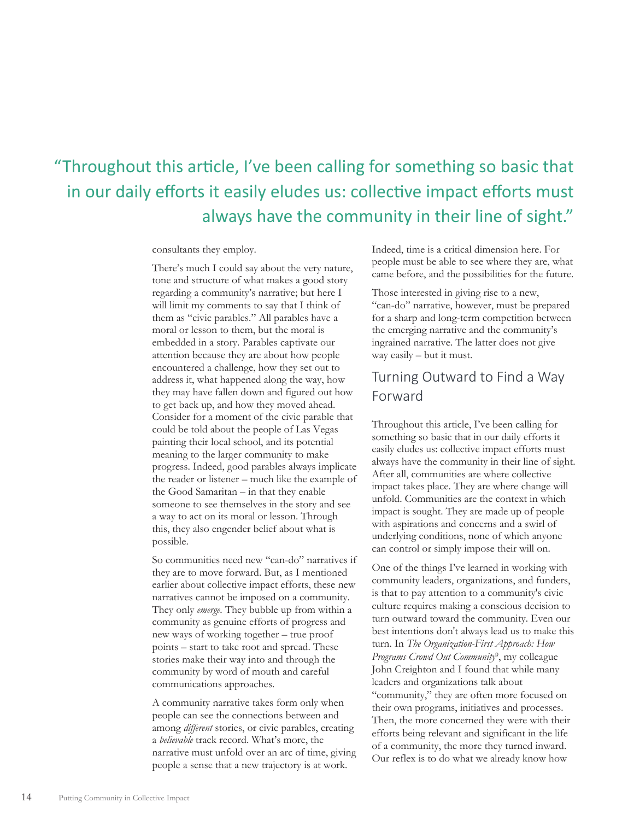# "Throughout this article, I've been calling for something so basic that in our daily efforts it easily eludes us: collective impact efforts must always have the community in their line of sight."

consultants they employ.

There's much I could say about the very nature, tone and structure of what makes a good story regarding a community's narrative; but here I will limit my comments to say that I think of them as "civic parables." All parables have a moral or lesson to them, but the moral is embedded in a story. Parables captivate our attention because they are about how people encountered a challenge, how they set out to address it, what happened along the way, how they may have fallen down and figured out how to get back up, and how they moved ahead. Consider for a moment of the civic parable that could be told about the people of Las Vegas painting their local school, and its potential meaning to the larger community to make progress. Indeed, good parables always implicate the reader or listener – much like the example of the Good Samaritan – in that they enable someone to see themselves in the story and see a way to act on its moral or lesson. Through this, they also engender belief about what is possible.

So communities need new "can-do" narratives if they are to move forward. But, as I mentioned earlier about collective impact efforts, these new narratives cannot be imposed on a community. They only *emerge*. They bubble up from within a community as genuine efforts of progress and new ways of working together – true proof points – start to take root and spread. These stories make their way into and through the community by word of mouth and careful communications approaches.

A community narrative takes form only when people can see the connections between and among *different* stories, or civic parables, creating a *believable* track record. What's more, the narrative must unfold over an arc of time, giving people a sense that a new trajectory is at work.

Indeed, time is a critical dimension here. For people must be able to see where they are, what came before, and the possibilities for the future.

Those interested in giving rise to a new, "can-do" narrative, however, must be prepared for a sharp and long-term competition between the emerging narrative and the community's ingrained narrative. The latter does not give way easily – but it must.

### Turning Outward to Find a Way Forward

Throughout this article, I've been calling for something so basic that in our daily efforts it easily eludes us: collective impact efforts must always have the community in their line of sight. After all, communities are where collective impact takes place. They are where change will unfold. Communities are the context in which impact is sought. They are made up of people with aspirations and concerns and a swirl of underlying conditions, none of which anyone can control or simply impose their will on.

One of the things I've learned in working with community leaders, organizations, and funders, is that to pay attention to a community's civic culture requires making a conscious decision to turn outward toward the community. Even our best intentions don't always lead us to make this turn. In *The Organization-First Approach: How Programs Crowd Out Community*9, my colleague John Creighton and I found that while many leaders and organizations talk about "community," they are often more focused on their own programs, initiatives and processes. Then, the more concerned they were with their efforts being relevant and significant in the life of a community, the more they turned inward. Our reflex is to do what we already know how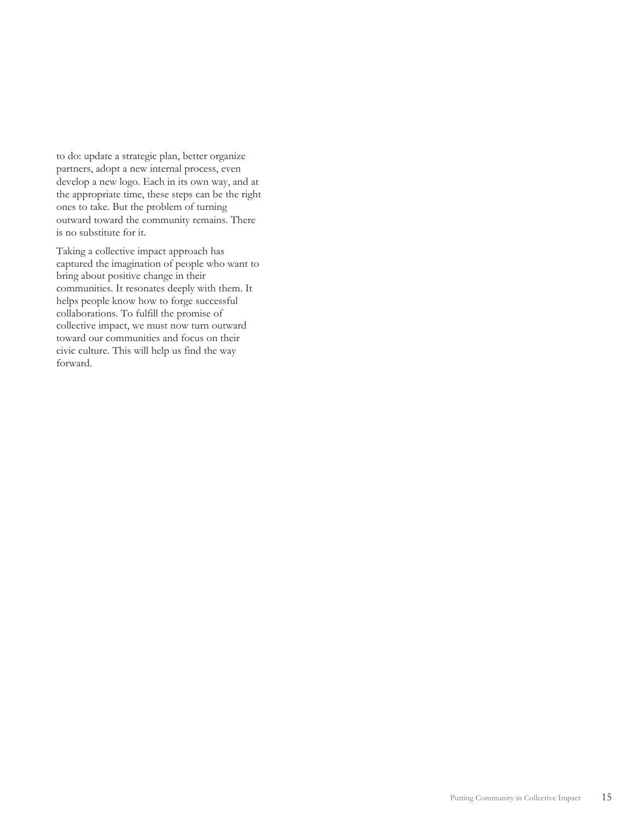to do: update a strategic plan, better organize partners, adopt a new internal process, even develop a new logo. Each in its own way, and at the appropriate time, these steps can be the right ones to take. But the problem of turning outward toward the community remains. There is no substitute for it.

Taking a collective impact approach has captured the imagination of people who want to bring about positive change in their communities. It resonates deeply with them. It helps people know how to forge successful collaborations. To fulfill the promise of collective impact, we must now turn outward toward our communities and focus on their civic culture. This will help us find the way forward.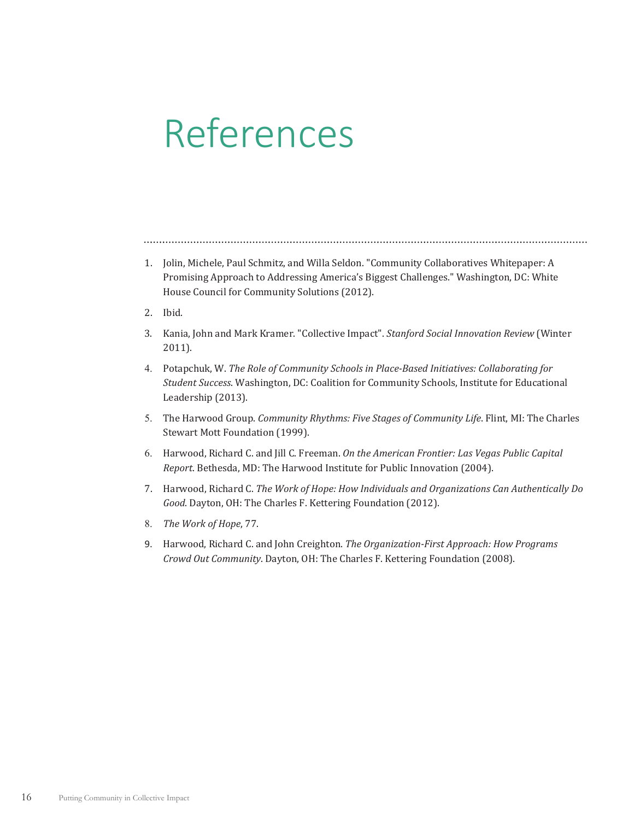# References

- 1. Jolin, Michele, Paul Schmitz, and Willa Seldon. "Community Collaboratives Whitepaper: A Promising Approach to Addressing America's Biggest Challenges." Washington, DC: White House Council for Community Solutions (2012).
- 2. Ibid.
- 3. Kania, John and Mark Kramer. "Collective Impact". Stanford Social Innovation Review (Winter  $2011$ ).
- 4. ǡǤ*The Role of Community Schools in PlaceǦBased Initiatives: Collaborating for Student Success*. Washington, DC: Coalition for Community Schools, Institute for Educational Leadership (2013).
- 5. The Harwood Group. *Community Rhythms: Five Stages of Community Life*. Flint, MI: The Charles Stewart Mott Foundation (1999).
- 6. ǡǤ
Ǥ Ǥ*On the American Frontier: Las Vegas Public Capital Report*. Bethesda, MD: The Harwood Institute for Public Innovation (2004).
- Ǥ ǡǤ*The Work of Hope: How Individuals and Organizations Can Authentically Do Good*. Dayton, OH: The Charles F. Kettering Foundation (2012).
- 8. The Work of Hope, 77.
- 9. Harwood, Richard C. and John Creighton. *The Organization-First Approach: How Programs Crowd Out Community*. Dayton, OH: The Charles F. Kettering Foundation (2008).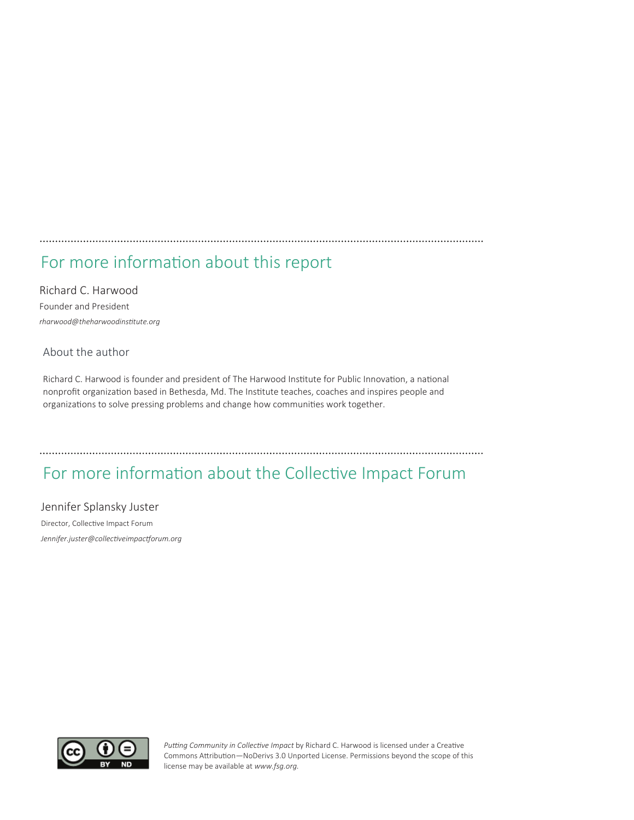### 

### For more information about this report

Richard C. Harwood Founder and President  $r$ *harwood@theharwoodinstitute.org* 

#### About the author

Richard C. Harwood is founder and president of The Harwood Institute for Public Innovation, a national nonprofit organization based in Bethesda, Md. The Institute teaches, coaches and inspires people and organizations to solve pressing problems and change how communities work together.

### For more information about the Collective Impact Forum

#### Jennifer Splansky Juster

Director, Collective Impact Forum  $J$ ennifer.juster@collectiveimpactforum.org



Putting Community in Collective Impact by Richard C. Harwood is licensed under a Creative Commons Attribution—NoDerivs 3.0 Unported License. Permissions beyond the scope of this license may be available at www.fsg.org.